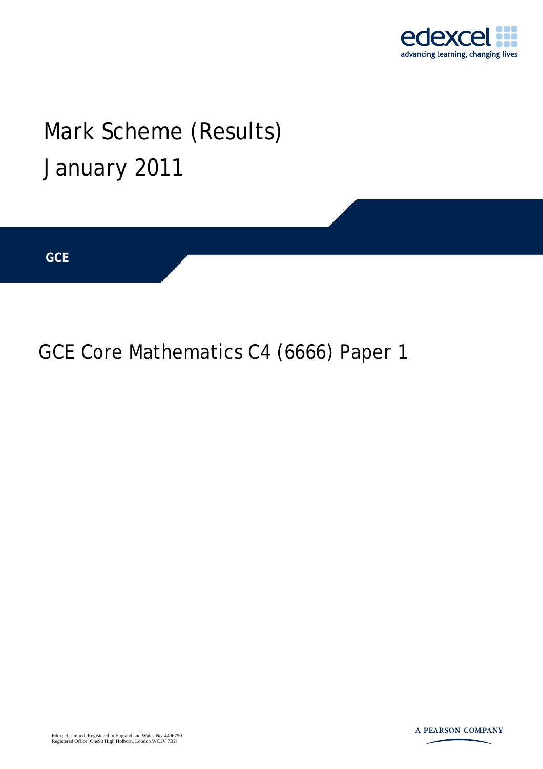

## Mark Scheme (Results) January 2011

**GCE** 

GCE Core Mathematics C4 (6666) Paper 1

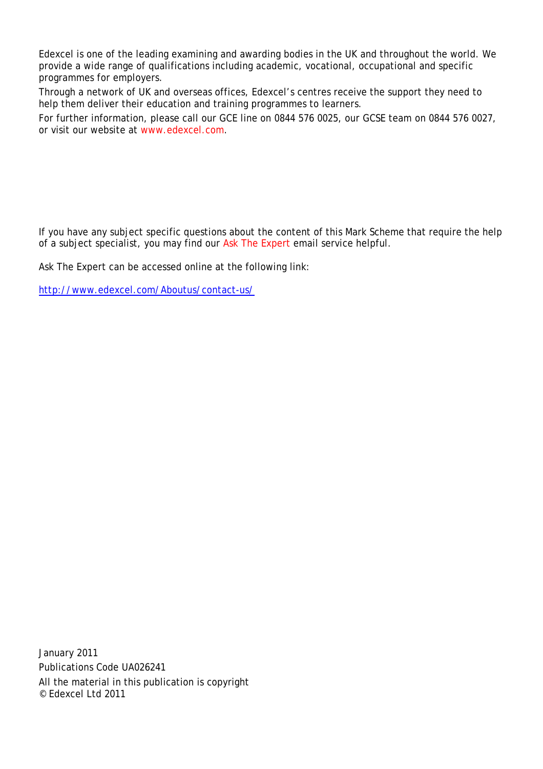Edexcel is one of the leading examining and awarding bodies in the UK and throughout the world. We provide a wide range of qualifications including academic, vocational, occupational and specific programmes for employers.

Through a network of UK and overseas offices, Edexcel's centres receive the support they need to help them deliver their education and training programmes to learners.

For further information, please call our GCE line on 0844 576 0025, our GCSE team on 0844 576 0027, or visit our website at www.edexcel.com.

If you have any subject specific questions about the content of this Mark Scheme that require the help of a subject specialist, you may find our Ask The Expert email service helpful.

Ask The Expert can be accessed online at the following link:

http://www.edexcel.com/Aboutus/contact-us/

January 2011 Publications Code UA026241 All the material in this publication is copyright © Edexcel Ltd 2011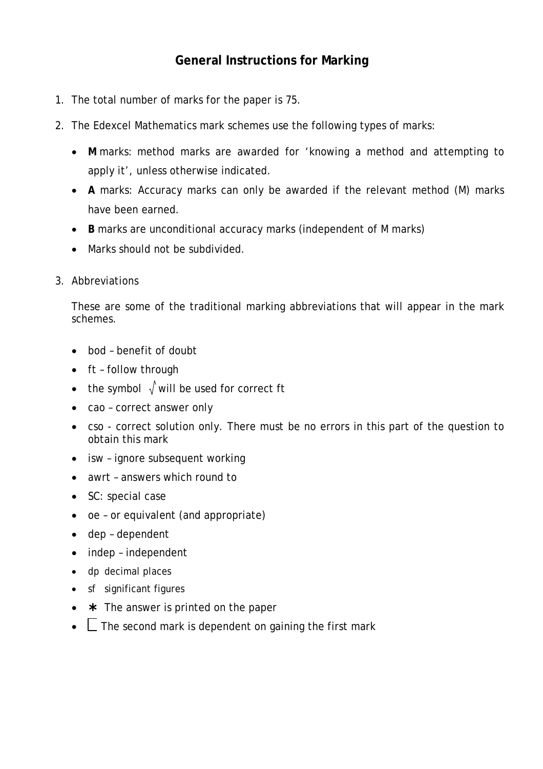## **General Instructions for Marking**

- 1. The total number of marks for the paper is 75.
- 2. The Edexcel Mathematics mark schemes use the following types of marks:
	- **M** marks: method marks are awarded for 'knowing a method and attempting to apply it', unless otherwise indicated.
	- **A** marks: Accuracy marks can only be awarded if the relevant method (M) marks have been earned.
	- **B** marks are unconditional accuracy marks (independent of M marks)
	- Marks should not be subdivided.
- 3. Abbreviations

These are some of the traditional marking abbreviations that will appear in the mark schemes.

- bod benefit of doubt
- ft follow through
- the symbol  $\sqrt{x}$  will be used for correct ft
- cao correct answer only
- cso correct solution only. There must be no errors in this part of the question to obtain this mark
- isw ignore subsequent working
- awrt answers which round to
- SC: special case
- oe or equivalent (and appropriate)
- dep dependent
- indep independent
- dp decimal places
- sf significant figures
- $\star$  The answer is printed on the paper
- $\Box$  The second mark is dependent on gaining the first mark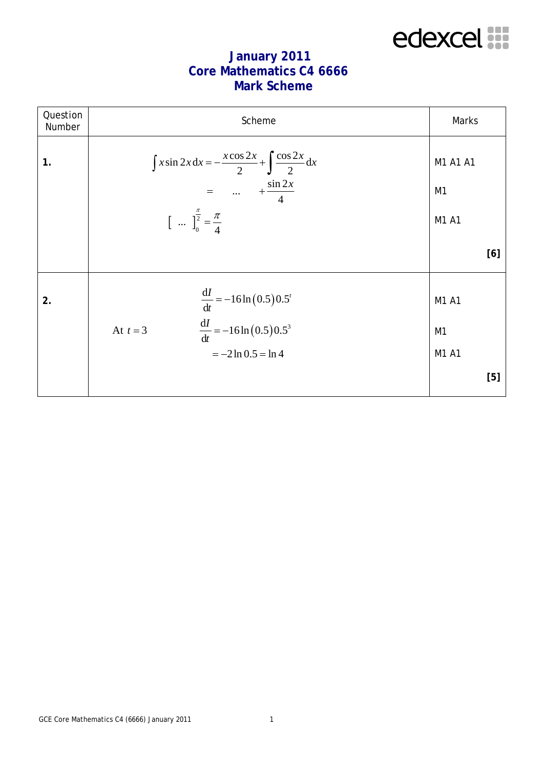

## **January 2011 Core Mathematics C4 6666 Mark Scheme**

| Question<br>Number | Scheme                                                                                                                                                                                | Marks                            |  |
|--------------------|---------------------------------------------------------------------------------------------------------------------------------------------------------------------------------------|----------------------------------|--|
| 1.                 | $\int x \sin 2x dx = -\frac{x \cos 2x}{2} + \int \frac{\cos 2x}{2} dx$<br>$=$ $+\frac{\sin 2x}{4}$<br>$\left[ \begin{array}{cc}  & \frac{\pi}{2} = \frac{\pi}{4} \end{array} \right]$ | M1 A1 A1<br>M1<br>M1 A1          |  |
|                    |                                                                                                                                                                                       | [6]                              |  |
| 2.                 | $rac{dI}{dt} = -16 \ln (0.5) 0.5^{t}$<br>$rac{dI}{dt} = -16 \ln (0.5) 0.5^{3}$<br>At $t=3$<br>$=-2 \ln 0.5 = \ln 4$                                                                   | M1 A1<br>M <sub>1</sub><br>M1 A1 |  |
|                    |                                                                                                                                                                                       | [5]                              |  |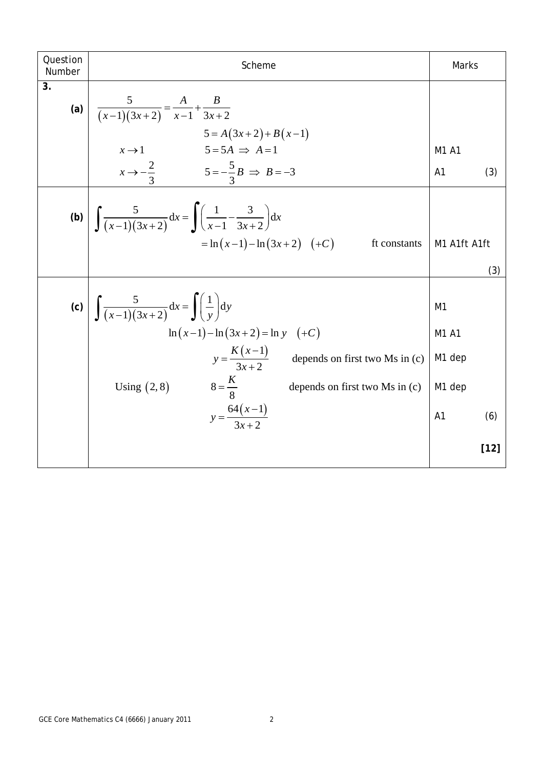| Question<br>Number | Scheme                                                                                                                                                                                                                                                                         | Marks                                                                            |
|--------------------|--------------------------------------------------------------------------------------------------------------------------------------------------------------------------------------------------------------------------------------------------------------------------------|----------------------------------------------------------------------------------|
| 3.                 | (a) $\frac{5}{(x-1)(3x+2)} = \frac{A}{x-1} + \frac{B}{3x+2}$<br>$5 = A(3x+2) + B(x-1)$<br>$x \to 1$<br>$x \to -\frac{2}{3}$<br>$5 = -\frac{5}{3}B \implies B = -3$                                                                                                             | M1 A1                                                                            |
|                    |                                                                                                                                                                                                                                                                                | A <sub>1</sub><br>(3)                                                            |
|                    | (b) $\int \frac{5}{(x-1)(3x+2)} dx = \int \left(\frac{1}{x-1} - \frac{3}{3x+2}\right) dx$<br>= ln (x-1)-ln (3x)<br>$= \ln(x-1) - \ln(3x+2)$ (+C)<br>ft constants                                                                                                               | M1 A1ft A1ft<br>(3)                                                              |
|                    | (c) $\int \frac{5}{(x-1)(3x+2)} dx = \int \left(\frac{1}{y}\right) dy$<br>$\ln(x-1) - \ln(3x+2) = \ln y$ (+C)<br>$y = \frac{K(x-1)}{3x+2}$ depends on first two Ms in (c)<br>$8=\frac{K}{8}$<br>Using $(2, 8)$<br>depends on first two Ms in (c)<br>$y = \frac{64(x-1)}{3x+2}$ | M <sub>1</sub><br>M1 A1<br>M1 dep<br>M <sub>1</sub> dep<br>A <sub>1</sub><br>(6) |
|                    |                                                                                                                                                                                                                                                                                | $[12]$                                                                           |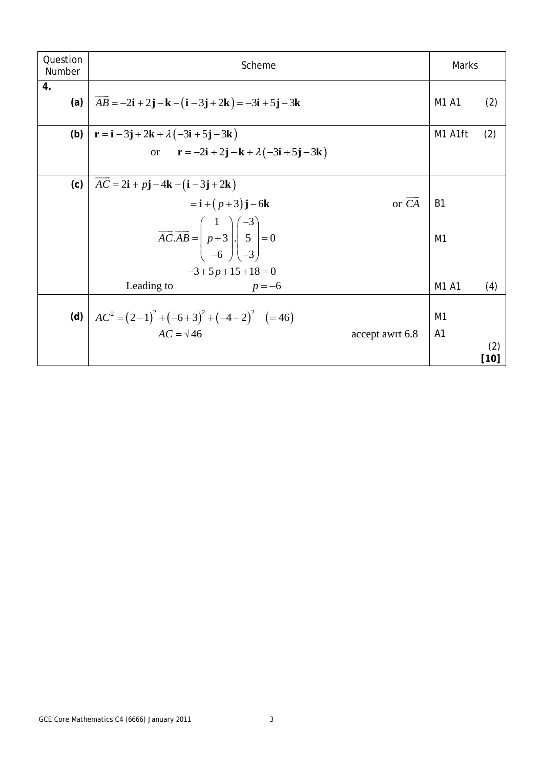| Question<br>Number | Scheme                                                                                                                                           |  | Marks          |               |
|--------------------|--------------------------------------------------------------------------------------------------------------------------------------------------|--|----------------|---------------|
| 4.<br>(a)          | $AB = -2i + 2j - k - (i - 3j + 2k) = -3i + 5j - 3k$                                                                                              |  | M1 A1          | (2)           |
| (b)                | $\mathbf{r} = \mathbf{i} - 3\mathbf{j} + 2\mathbf{k} + \lambda(-3\mathbf{i} + 5\mathbf{j} - 3\mathbf{k})$                                        |  | M1 A1ft        | (2)           |
|                    | or $\mathbf{r} = -2\mathbf{i} + 2\mathbf{j} - \mathbf{k} + \lambda(-3\mathbf{i} + 5\mathbf{j} - 3\mathbf{k})$                                    |  |                |               |
| (c)                | $AC = 2\mathbf{i} + p\mathbf{j} - 4\mathbf{k} - (\mathbf{i} - 3\mathbf{j} + 2\mathbf{k})$                                                        |  |                |               |
|                    | or $\overrightarrow{CA}$<br>$=$ <b>i</b> + $(p+3)$ <b>j</b> - 6 <b>k</b>                                                                         |  | <b>B1</b>      |               |
|                    | $\overrightarrow{AC.AB} = \begin{pmatrix} 1 \\ p+3 \\ -6 \end{pmatrix} \cdot \begin{pmatrix} -3 \\ 5 \\ -3 \end{pmatrix} = 0$<br>$-3+5p+15+18=0$ |  | M1             |               |
|                    | Leading to<br>$p = -6$                                                                                                                           |  | M1 A1          | (4)           |
| (d)                | $AC^{2} = (2-1)^{2} + (-6+3)^{2} + (-4-2)^{2}$ (=46)<br>$AC = \sqrt{46}$                                                                         |  | M <sub>1</sub> |               |
|                    | accept awrt 6.8                                                                                                                                  |  | A <sub>1</sub> | (2)<br>$[10]$ |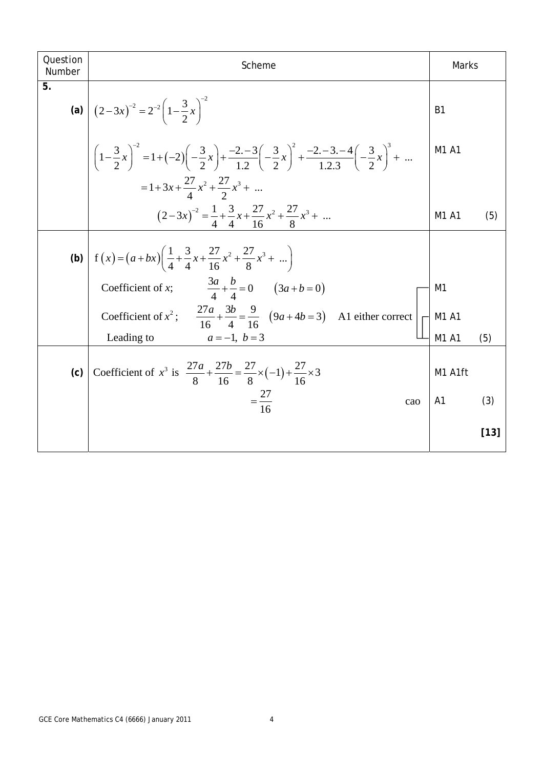| Question<br>Number | Scheme                                                                                                                                                                                        | Marks          |        |
|--------------------|-----------------------------------------------------------------------------------------------------------------------------------------------------------------------------------------------|----------------|--------|
| 5.                 | (a) $\left[ (2-3x)^{-2} = 2^{-2} \left( 1 - \frac{3}{2} x \right)^{-2} \right]$                                                                                                               | <b>B1</b>      |        |
|                    | $\left(1-\frac{3}{2}x\right)^{-2} = 1 + \left(-2\right)\left(-\frac{3}{2}x\right) + \frac{-2-3}{12}\left(-\frac{3}{2}x\right)^{2} + \frac{-2-3-4}{123}\left(-\frac{3}{2}x\right)^{3} + \dots$ | M1 A1          |        |
|                    | $=1+3x+\frac{27}{4}x^2+\frac{27}{2}x^3+$                                                                                                                                                      |                |        |
|                    | $(2-3x)^{-2} = \frac{1}{4} + \frac{3}{4}x + \frac{27}{16}x^2 + \frac{27}{8}x^3 + \dots$                                                                                                       | M1 A1          | (5)    |
|                    | (b) $\left  f(x) = (a+bx) \left( \frac{1}{4} + \frac{3}{4}x + \frac{27}{16}x^2 + \frac{27}{8}x^3 + \dots \right) \right $                                                                     |                |        |
|                    | Coefficient of x; $\frac{3a}{4} + \frac{b}{4} = 0$ $(3a+b=0)$                                                                                                                                 | M <sub>1</sub> |        |
|                    | Coefficient of $x^2$ ; $\frac{27a}{16} + \frac{3b}{4} = \frac{9}{16} (9a + 4b = 3)$ A1 either correct                                                                                         | M1 A1          |        |
|                    | Leading to<br>$a = -1, b = 3$                                                                                                                                                                 | M1 A1          | (5)    |
| (c)                | Coefficient of $x^3$ is $\frac{27a}{8} + \frac{27b}{16} = \frac{27}{8} \times (-1) + \frac{27}{16} \times 3$                                                                                  | M1 A1ft        |        |
|                    | $=\frac{27}{16}$<br>cao                                                                                                                                                                       | A <sub>1</sub> | (3)    |
|                    |                                                                                                                                                                                               |                | $[13]$ |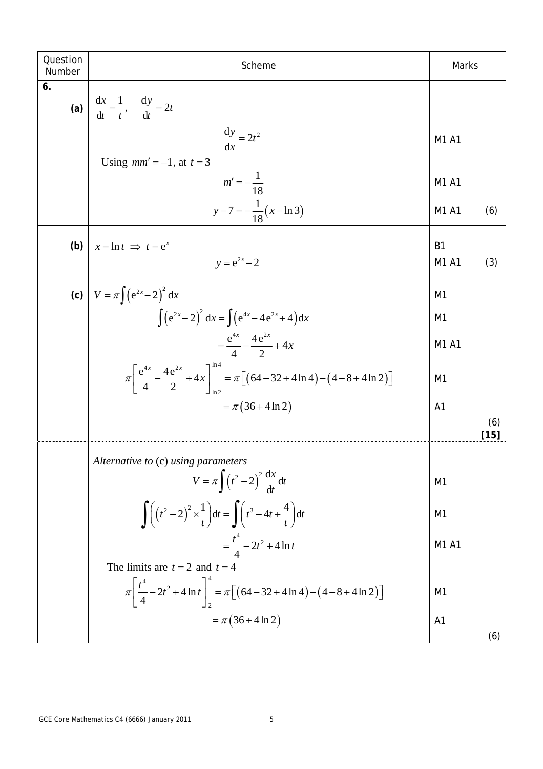| Question<br>Number | Scheme                                                                                                                                                    | Marks                   |               |
|--------------------|-----------------------------------------------------------------------------------------------------------------------------------------------------------|-------------------------|---------------|
| 6.<br>(a)          | $\frac{dx}{dt} = \frac{1}{t}, \quad \frac{dy}{dt} = 2t$                                                                                                   |                         |               |
|                    | $\frac{dy}{dx} = 2t^2$                                                                                                                                    | M1 A1                   |               |
|                    | Using $mm'=-1$ , at $t=3$<br>$m' = -\frac{1}{18}$                                                                                                         | M1 A1                   |               |
|                    | $y-7=-\frac{1}{18}(x-\ln 3)$                                                                                                                              | M1 A1                   | (6)           |
| (b)                | $x = \ln t \implies t = e^x$<br>$v = e^{2x} - 2$                                                                                                          | B <sub>1</sub><br>M1 A1 | (3)           |
| (c)                | $V = \pi \int (e^{2x} - 2)^2 dx$                                                                                                                          | M <sub>1</sub>          |               |
|                    | $\int (e^{2x} - 2)^2 dx = \int (e^{4x} - 4e^{2x} + 4) dx$                                                                                                 | M <sub>1</sub>          |               |
|                    | $=\frac{e^{4x}}{4} - \frac{4e^{2x}}{2} + 4x$                                                                                                              | M1 A1                   |               |
|                    | $\pi \left[\frac{e^{4x}}{4} - \frac{4e^{2x}}{2} + 4x\right]_{0.8}^{0.9} = \pi \left[\left(64 - 32 + 4 \ln 4\right) - \left(4 - 8 + 4 \ln 2\right)\right]$ | M <sub>1</sub>          |               |
|                    | $= \pi (36 + 4 \ln 2)$                                                                                                                                    | A <sub>1</sub>          | (6)<br>$[15]$ |
|                    | Alternative to (c) using parameters                                                                                                                       |                         |               |
|                    | $V = \pi \int (t^2 - 2)^2 \frac{dx}{dt} dt$                                                                                                               | M <sub>1</sub>          |               |
|                    | $\int_{0}^{t} \left(t^2-2\right)^2 \times \frac{1}{t} dt = \int_{0}^{t} \left(t^3-4t+\frac{4}{t}\right) dt$                                               | M <sub>1</sub>          |               |
|                    | $=\frac{t^4}{4}-2t^2+4\ln t$                                                                                                                              | M1 A1                   |               |
|                    | The limits are $t = 2$ and $t = 4$                                                                                                                        |                         |               |
|                    | $\pi \left[ \frac{t^4}{4} - 2t^2 + 4 \ln t \right]_2^4 = \pi \left[ \left( 64 - 32 + 4 \ln 4 \right) - \left( 4 - 8 + 4 \ln 2 \right) \right]$            | M <sub>1</sub>          |               |
|                    | $= \pi (36 + 4 \ln 2)$                                                                                                                                    | A <sub>1</sub>          | (6)           |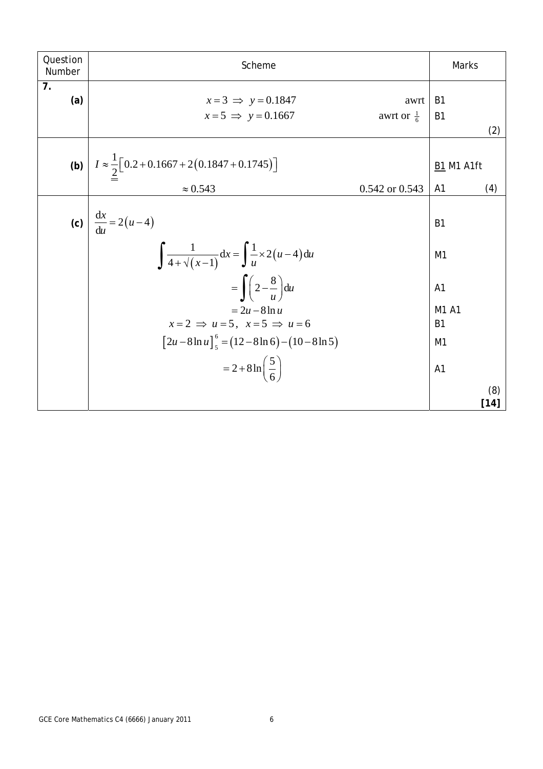| Question<br>Number | Scheme                                                                             |                               | Marks                            |               |
|--------------------|------------------------------------------------------------------------------------|-------------------------------|----------------------------------|---------------|
| 7.<br>(a)          | $x=3 \implies y=0.1847$<br>$x=5 \implies y=0.1667$                                 | awrt<br>awrt or $\frac{1}{6}$ | B <sub>1</sub><br>B <sub>1</sub> | (2)           |
|                    | (b) $I \approx \frac{1}{2} [0.2 + 0.1667 + 2(0.1847 + 0.1745)]$<br>$\approx 0.543$ | 0.542 or 0.543                | <b>B1 M1 A1ft</b><br>A1          | (4)           |
|                    | (c) $\frac{dx}{du} = 2(u-4)$                                                       |                               | B <sub>1</sub>                   |               |
|                    | $\int \frac{1}{4+\sqrt{(x-1)}} dx = \int \frac{1}{u} \times 2(u-4) du$             |                               | M1                               |               |
|                    | $= \int \left(2 - \frac{8}{u}\right) du$                                           |                               | A <sub>1</sub>                   |               |
|                    | $=2u-8\ln u$<br>$x=2 \implies u=5$ , $x=5 \implies u=6$                            |                               | M1 A1<br><b>B1</b>               |               |
|                    | $\left[2u-8\ln u\right]_5^6 = (12-8\ln 6)-(10-8\ln 5)$                             |                               | M1                               |               |
|                    | $= 2 + 8 \ln \left( \frac{5}{6} \right)$                                           |                               | A1                               |               |
|                    |                                                                                    |                               |                                  | (8)<br>$[14]$ |